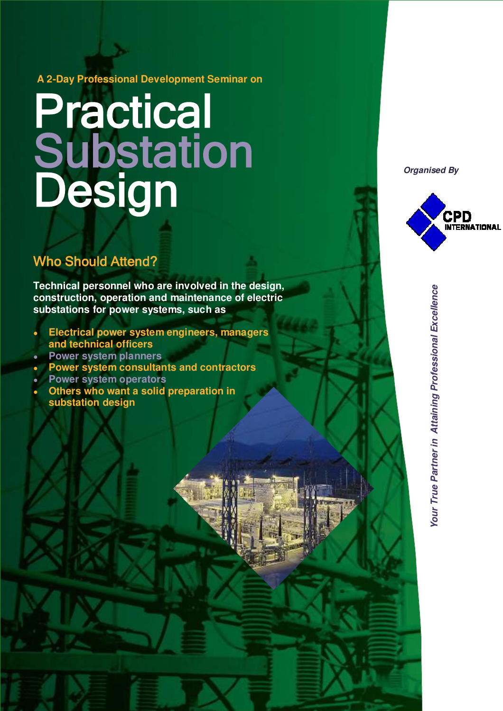**A 2-Day Professional Development Seminar on**

# Practical Substation Design

## Who Should Attend?

**Technical personnel who are involved in the design, construction, operation and maintenance of electric substations for power systems, such as**

- **Electrical power system engineers, managers and technical officers**
- **Power system planners**
- **Power system consultants and contractors**
- **Power system operators**
- **Others who want a solid preparation in substation design**

*Organised By*



**Our True Partner in Attaining Professional Excellence** *Your True Partner in Attaining Professional Excellence*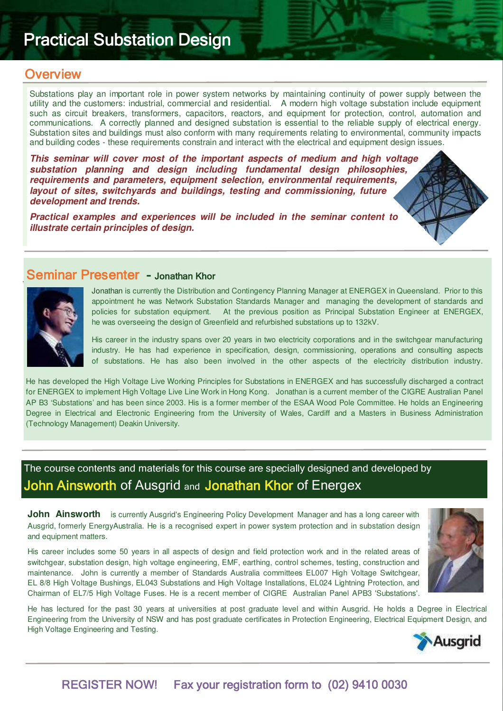## Practical Substation Design

## **Overview**

Substations play an important role in power system networks by maintaining continuity of power supply between the utility and the customers: industrial, commercial and residential. A modern high voltage substation include equipment such as circuit breakers, transformers, capacitors, reactors, and equipment for protection, control, automation and communications. A correctly planned and designed substation is essential to the reliable supply of electrical energy. Substation sites and buildings must also conform with many requirements relating to environmental, community impacts and building codes - these requirements constrain and interact with the electrical and equipment design issues.

*This seminar will cover most of the important aspects of medium and high voltage substation planning and design including fundamental design philosophies, requirements and parameters, equipment selection, environmental requirements, layout of sites, switchyards and buildings, testing and commissioning, future development and trends.*

*Practical examples and experiences will be included in the seminar content to illustrate certain principles of design.*

## Seminar Presenter - Jonathan Khor



Jonathan is currently the Distribution and Contingency Planning Manager at ENERGEX in Queensland. Prior to this appointment he was Network Substation Standards Manager and managing the development of standards and policies for substation equipment. At the previous position as Principal Substation Engineer at ENERGEX, he was overseeing the design of Greenfield and refurbished substations up to 132kV.

His career in the industry spans over 20 years in two electricity corporations and in the switchgear manufacturing industry. He has had experience in specification, design, commissioning, operations and consulting aspects of substations. He has also been involved in the other aspects of the electricity distribution industry.

He has developed the High Voltage Live Working Principles for Substations in ENERGEX and has successfully discharged a contract for ENERGEX to implement High Voltage Live Line Work in Hong Kong. Jonathan is a current member of the CIGRE Australian Panel AP B3 'Substations' and has been since 2003. His is a former member of the ESAA Wood Pole Committee. He holds an Engineering Degree in Electrical and Electronic Engineering from the University of Wales, Cardiff and a Masters in Business Administration (Technology Management) Deakin University.

## The course contents and materials for this course are specially designed and developed by John Ainsworth of Ausgrid and Jonathan Khor of Energex

**John Ainsworth** is currently Ausgrid's Engineering Policy Development Manager and has a long career with Ausgrid, formerly EnergyAustralia. He is a recognised expert in power system protection and in substation design and equipment matters.

His career includes some 50 years in all aspects of design and field protection work and in the related areas of switchgear, substation design, high voltage engineering, EMF, earthing, control schemes, testing, construction and maintenance. John is currently a member of Standards Australia committees EL007 High Voltage Switchgear, EL 8/8 High Voltage Bushings, EL043 Substations and High Voltage Installations, EL024 Lightning Protection, and Chairman of EL7/5 High Voltage Fuses. He is a recent member of CIGRE Australian Panel APB3 'Substations'.



He has lectured for the past 30 years at universities at post graduate level and within Ausgrid. He holds a Degree in Electrical Engineering from the University of NSW and has post graduate certificates in Protection Engineering, Electrical Equipment Design, and High Voltage Engineering and Testing.



## REGISTER NOW! Fax your registration form to (02) 9410 0030